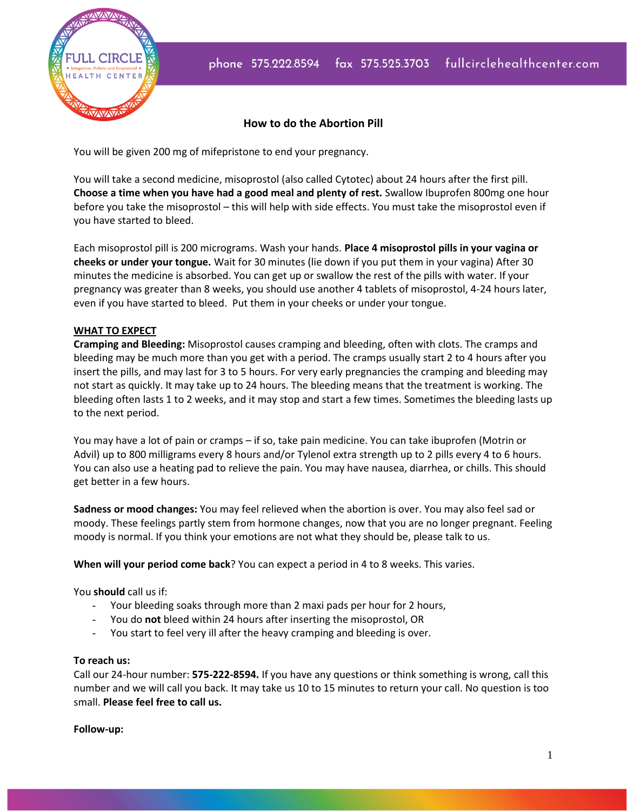

## **How to do the Abortion Pill**

You will be given 200 mg of mifepristone to end your pregnancy.

You will take a second medicine, misoprostol (also called Cytotec) about 24 hours after the first pill. **Choose a time when you have had a good meal and plenty of rest.** Swallow Ibuprofen 800mg one hour before you take the misoprostol – this will help with side effects. You must take the misoprostol even if you have started to bleed.

Each misoprostol pill is 200 micrograms. Wash your hands. **Place 4 misoprostol pills in your vagina or cheeks or under your tongue.** Wait for 30 minutes (lie down if you put them in your vagina) After 30 minutes the medicine is absorbed. You can get up or swallow the rest of the pills with water. If your pregnancy was greater than 8 weeks, you should use another 4 tablets of misoprostol, 4-24 hours later, even if you have started to bleed. Put them in your cheeks or under your tongue.

## **WHAT TO EXPECT**

**Cramping and Bleeding:** Misoprostol causes cramping and bleeding, often with clots. The cramps and bleeding may be much more than you get with a period. The cramps usually start 2 to 4 hours after you insert the pills, and may last for 3 to 5 hours. For very early pregnancies the cramping and bleeding may not start as quickly. It may take up to 24 hours. The bleeding means that the treatment is working. The bleeding often lasts 1 to 2 weeks, and it may stop and start a few times. Sometimes the bleeding lasts up to the next period.

You may have a lot of pain or cramps – if so, take pain medicine. You can take ibuprofen (Motrin or Advil) up to 800 milligrams every 8 hours and/or Tylenol extra strength up to 2 pills every 4 to 6 hours. You can also use a heating pad to relieve the pain. You may have nausea, diarrhea, or chills. This should get better in a few hours.

**Sadness or mood changes:** You may feel relieved when the abortion is over. You may also feel sad or moody. These feelings partly stem from hormone changes, now that you are no longer pregnant. Feeling moody is normal. If you think your emotions are not what they should be, please talk to us.

**When will your period come back**? You can expect a period in 4 to 8 weeks. This varies.

You **should** call us if:

- Your bleeding soaks through more than 2 maxi pads per hour for 2 hours,
- You do **not** bleed within 24 hours after inserting the misoprostol, OR
- You start to feel very ill after the heavy cramping and bleeding is over.

## **To reach us:**

Call our 24-hour number: **575-222-8594.** If you have any questions or think something is wrong, call this number and we will call you back. It may take us 10 to 15 minutes to return your call. No question is too small. **Please feel free to call us.**

## **Follow-up:**